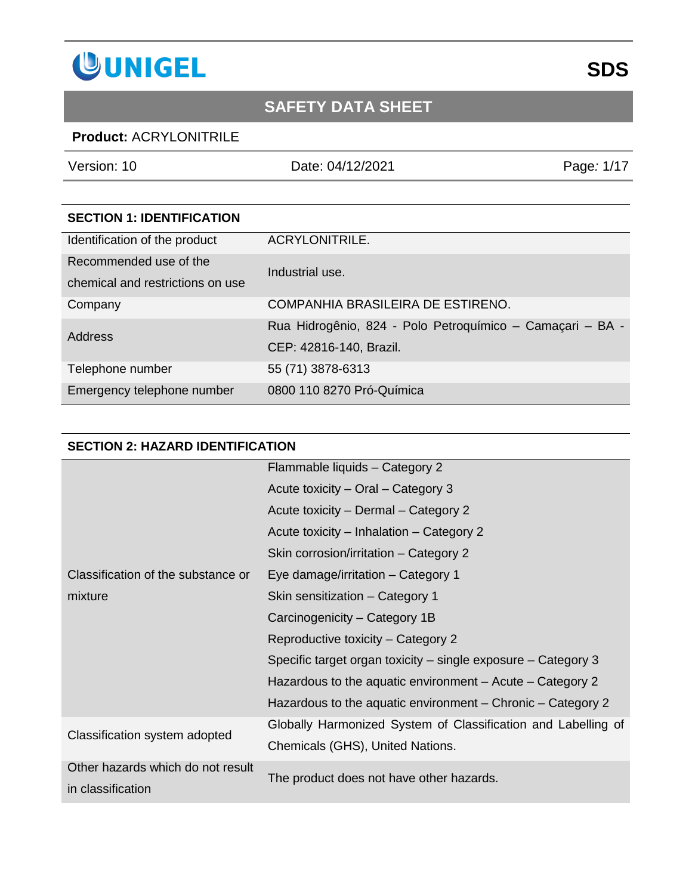

### **Product:** ACRYLONITRILE

Version: 10 Date: 04/12/2021 Page*:* 1/17

| <b>SECTION 1: IDENTIFICATION</b> |                                                           |
|----------------------------------|-----------------------------------------------------------|
| Identification of the product    | <b>ACRYLONITRILE.</b>                                     |
| Recommended use of the           | Industrial use.                                           |
| chemical and restrictions on use |                                                           |
| Company                          | COMPANHIA BRASILEIRA DE ESTIRENO.                         |
| Address                          | Rua Hidrogênio, 824 - Polo Petroquímico - Camaçari - BA - |
|                                  | CEP: 42816-140, Brazil.                                   |
| Telephone number                 | 55 (71) 3878-6313                                         |
| Emergency telephone number       | 0800 110 8270 Pró-Química                                 |

#### **SECTION 2: HAZARD IDENTIFICATION**

|                                    | Flammable liquids - Category 2                                |  |
|------------------------------------|---------------------------------------------------------------|--|
|                                    | Acute toxicity – Oral – Category 3                            |  |
|                                    | Acute toxicity – Dermal – Category 2                          |  |
|                                    | Acute toxicity – Inhalation – Category 2                      |  |
|                                    | Skin corrosion/irritation – Category 2                        |  |
| Classification of the substance or | Eye damage/irritation – Category 1                            |  |
| mixture                            | Skin sensitization - Category 1                               |  |
|                                    | Carcinogenicity - Category 1B                                 |  |
|                                    | Reproductive toxicity - Category 2                            |  |
|                                    | Specific target organ toxicity – single exposure – Category 3 |  |
|                                    | Hazardous to the aquatic environment $-$ Acute $-$ Category 2 |  |
|                                    | Hazardous to the aquatic environment – Chronic – Category 2   |  |
|                                    | Globally Harmonized System of Classification and Labelling of |  |
| Classification system adopted      | Chemicals (GHS), United Nations.                              |  |
| Other hazards which do not result  |                                                               |  |
| in classification                  | The product does not have other hazards.                      |  |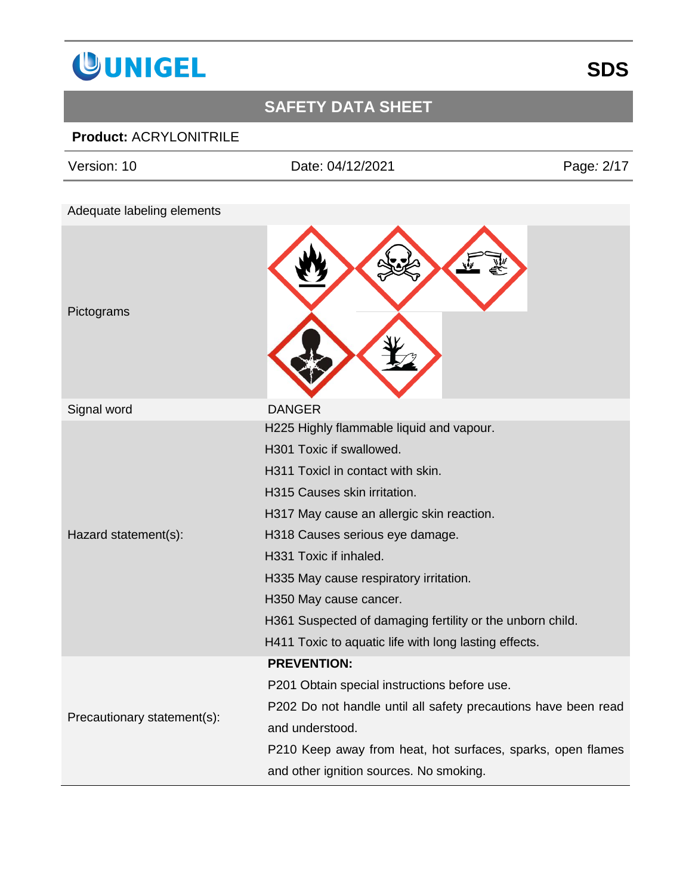

### **Product:** ACRYLONITRILE

| Date: 04/12/2021                                      | Page: 2/17                                                                                                                                                                                 |
|-------------------------------------------------------|--------------------------------------------------------------------------------------------------------------------------------------------------------------------------------------------|
|                                                       |                                                                                                                                                                                            |
|                                                       |                                                                                                                                                                                            |
|                                                       |                                                                                                                                                                                            |
| <b>DANGER</b>                                         |                                                                                                                                                                                            |
| H225 Highly flammable liquid and vapour.              |                                                                                                                                                                                            |
| H301 Toxic if swallowed.                              |                                                                                                                                                                                            |
| H311 Toxicl in contact with skin.                     |                                                                                                                                                                                            |
| H315 Causes skin irritation.                          |                                                                                                                                                                                            |
| H317 May cause an allergic skin reaction.             |                                                                                                                                                                                            |
| H318 Causes serious eye damage.                       |                                                                                                                                                                                            |
| H331 Toxic if inhaled.                                |                                                                                                                                                                                            |
| H335 May cause respiratory irritation.                |                                                                                                                                                                                            |
| H350 May cause cancer.                                |                                                                                                                                                                                            |
|                                                       |                                                                                                                                                                                            |
| H411 Toxic to aquatic life with long lasting effects. |                                                                                                                                                                                            |
| <b>PREVENTION:</b>                                    |                                                                                                                                                                                            |
| P201 Obtain special instructions before use.          |                                                                                                                                                                                            |
|                                                       |                                                                                                                                                                                            |
| and understood.                                       |                                                                                                                                                                                            |
|                                                       |                                                                                                                                                                                            |
| and other ignition sources. No smoking.               |                                                                                                                                                                                            |
|                                                       | H361 Suspected of damaging fertility or the unborn child.<br>P202 Do not handle until all safety precautions have been read<br>P210 Keep away from heat, hot surfaces, sparks, open flames |

**SDS**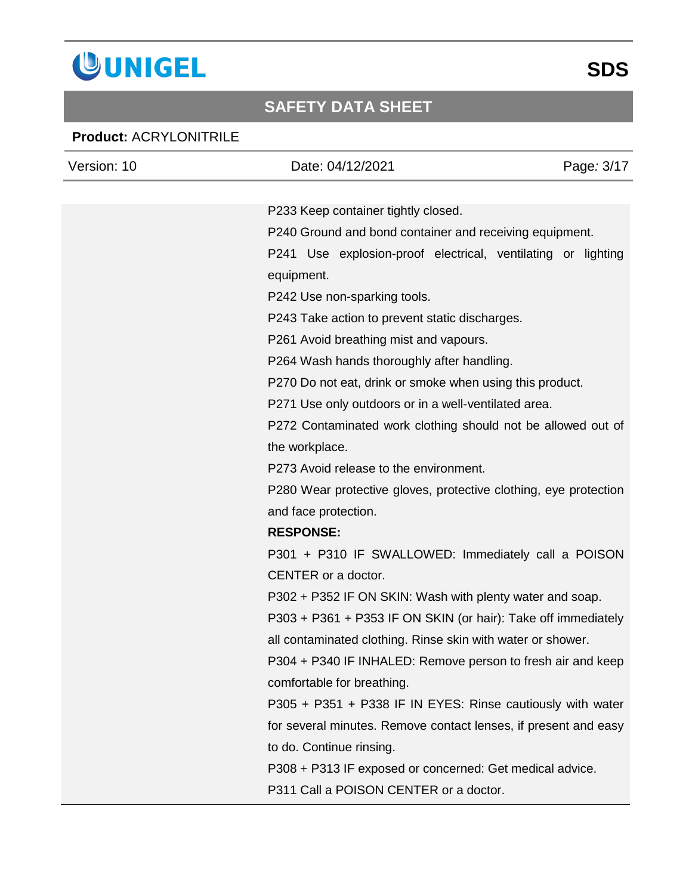

### **Product:** ACRYLONITRILE

| Version: 10 | Date: 04/12/2021                                                 | Page: 3/17 |
|-------------|------------------------------------------------------------------|------------|
|             |                                                                  |            |
|             | P233 Keep container tightly closed.                              |            |
|             | P240 Ground and bond container and receiving equipment.          |            |
|             | P241 Use explosion-proof electrical, ventilating or lighting     |            |
|             | equipment.                                                       |            |
|             | P242 Use non-sparking tools.                                     |            |
|             | P243 Take action to prevent static discharges.                   |            |
|             | P261 Avoid breathing mist and vapours.                           |            |
|             | P264 Wash hands thoroughly after handling.                       |            |
|             | P270 Do not eat, drink or smoke when using this product.         |            |
|             | P271 Use only outdoors or in a well-ventilated area.             |            |
|             | P272 Contaminated work clothing should not be allowed out of     |            |
|             | the workplace.                                                   |            |
|             | P273 Avoid release to the environment.                           |            |
|             | P280 Wear protective gloves, protective clothing, eye protection |            |
|             | and face protection.                                             |            |
|             | <b>RESPONSE:</b>                                                 |            |
|             | P301 + P310 IF SWALLOWED: Immediately call a POISON              |            |
|             | CENTER or a doctor.                                              |            |
|             | P302 + P352 IF ON SKIN: Wash with plenty water and soap.         |            |
|             | P303 + P361 + P353 IF ON SKIN (or hair): Take off immediately    |            |
|             | all contaminated clothing. Rinse skin with water or shower.      |            |
|             | P304 + P340 IF INHALED: Remove person to fresh air and keep      |            |
|             | comfortable for breathing.                                       |            |
|             | P305 + P351 + P338 IF IN EYES: Rinse cautiously with water       |            |
|             | for several minutes. Remove contact lenses, if present and easy  |            |
|             | to do. Continue rinsing.                                         |            |
|             | P308 + P313 IF exposed or concerned: Get medical advice.         |            |
|             | P311 Call a POISON CENTER or a doctor.                           |            |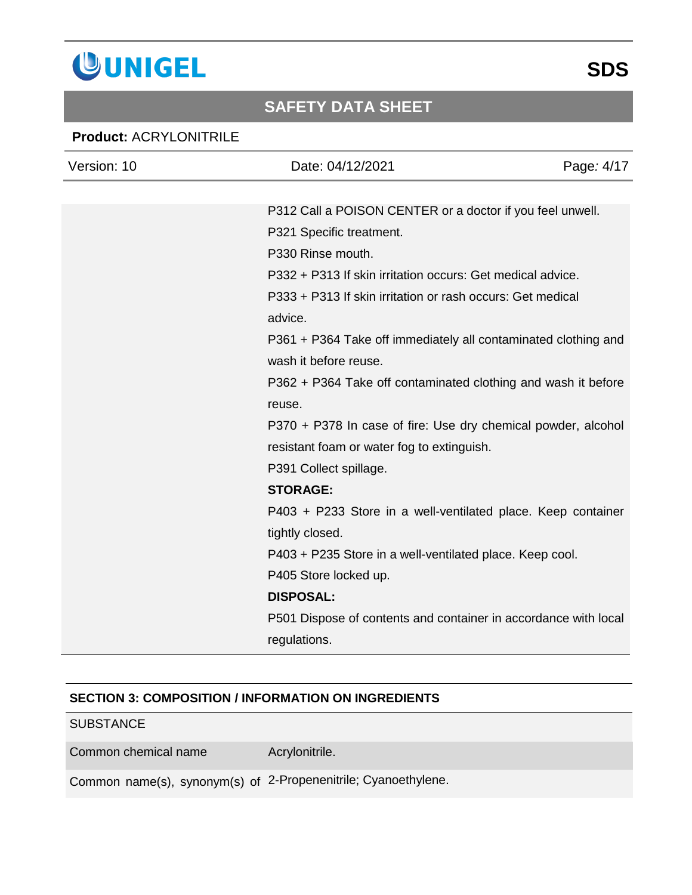

#### **Product:** ACRYLONITRILE

| Version: 10 | Date: 04/12/2021                                                | Page: 4/17 |
|-------------|-----------------------------------------------------------------|------------|
|             |                                                                 |            |
|             | P312 Call a POISON CENTER or a doctor if you feel unwell.       |            |
|             | P321 Specific treatment.                                        |            |
|             | P330 Rinse mouth.                                               |            |
|             | P332 + P313 If skin irritation occurs: Get medical advice.      |            |
|             | P333 + P313 If skin irritation or rash occurs: Get medical      |            |
|             | advice.                                                         |            |
|             | P361 + P364 Take off immediately all contaminated clothing and  |            |
|             | wash it before reuse.                                           |            |
|             | P362 + P364 Take off contaminated clothing and wash it before   |            |
|             | reuse.                                                          |            |
|             | P370 + P378 In case of fire: Use dry chemical powder, alcohol   |            |
|             | resistant foam or water fog to extinguish.                      |            |
|             | P391 Collect spillage.                                          |            |
|             | <b>STORAGE:</b>                                                 |            |
|             | P403 + P233 Store in a well-ventilated place. Keep container    |            |
|             | tightly closed.                                                 |            |
|             | P403 + P235 Store in a well-ventilated place. Keep cool.        |            |
|             | P405 Store locked up.                                           |            |
|             | <b>DISPOSAL:</b>                                                |            |
|             | P501 Dispose of contents and container in accordance with local |            |
|             | regulations.                                                    |            |

#### **SECTION 3: COMPOSITION / INFORMATION ON INGREDIENTS**

### **SUBSTANCE**

Common chemical name **Acrylonitrile.** 

Common name(s), synonym(s) of 2-Propenenitrile; Cyanoethylene.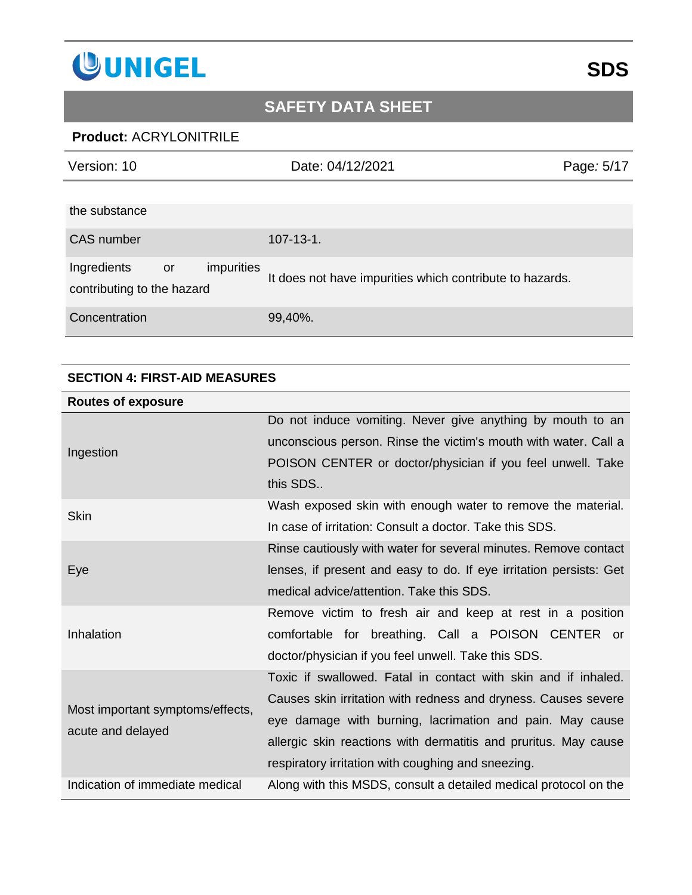

### **Product:** ACRYLONITRILE

| Version: 10                                                   | Date: 04/12/2021                                         | Page: 5/17 |
|---------------------------------------------------------------|----------------------------------------------------------|------------|
| the substance                                                 |                                                          |            |
| <b>CAS</b> number                                             | $107 - 13 - 1$ .                                         |            |
| Ingredients<br>impurities<br>or<br>contributing to the hazard | It does not have impurities which contribute to hazards. |            |
| Concentration                                                 | 99,40%.                                                  |            |

#### **SECTION 4: FIRST-AID MEASURES**

| <b>Routes of exposure</b>                             |                                                                    |
|-------------------------------------------------------|--------------------------------------------------------------------|
| Ingestion                                             | Do not induce vomiting. Never give anything by mouth to an         |
|                                                       | unconscious person. Rinse the victim's mouth with water. Call a    |
|                                                       | POISON CENTER or doctor/physician if you feel unwell. Take         |
|                                                       | this SDS                                                           |
| <b>Skin</b>                                           | Wash exposed skin with enough water to remove the material.        |
|                                                       | In case of irritation: Consult a doctor. Take this SDS.            |
| Eye                                                   | Rinse cautiously with water for several minutes. Remove contact    |
|                                                       | lenses, if present and easy to do. If eye irritation persists: Get |
|                                                       | medical advice/attention. Take this SDS.                           |
|                                                       | Remove victim to fresh air and keep at rest in a position          |
| Inhalation                                            | comfortable for breathing. Call a POISON CENTER or                 |
|                                                       | doctor/physician if you feel unwell. Take this SDS.                |
|                                                       | Toxic if swallowed. Fatal in contact with skin and if inhaled.     |
| Most important symptoms/effects,<br>acute and delayed | Causes skin irritation with redness and dryness. Causes severe     |
|                                                       | eye damage with burning, lacrimation and pain. May cause           |
|                                                       | allergic skin reactions with dermatitis and pruritus. May cause    |
|                                                       | respiratory irritation with coughing and sneezing.                 |
| Indication of immediate medical                       | Along with this MSDS, consult a detailed medical protocol on the   |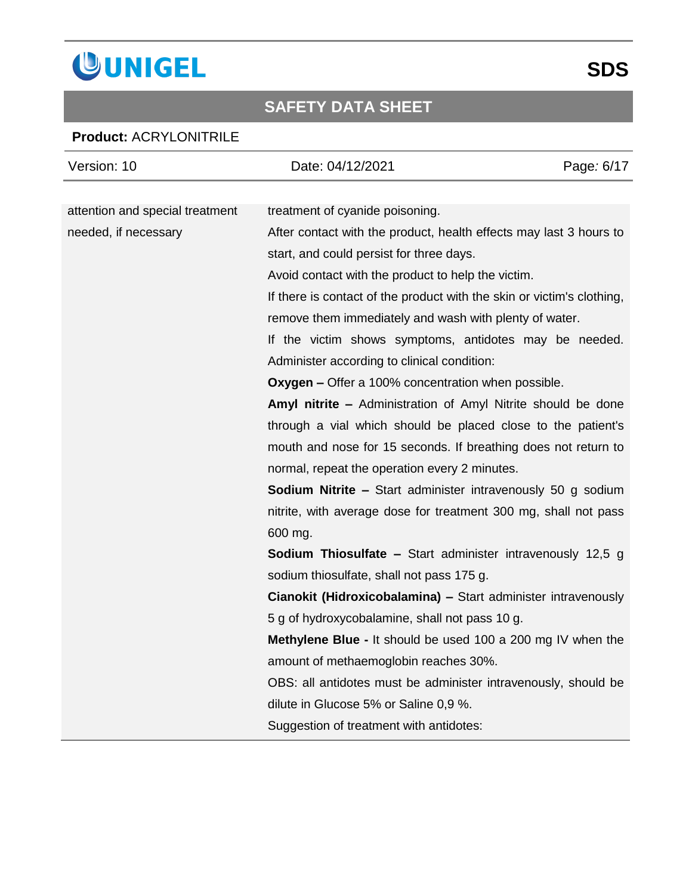

### **Product:** ACRYLONITRILE

| Version: 10                     | Date: 04/12/2021                                                       | Page: 6/17 |
|---------------------------------|------------------------------------------------------------------------|------------|
|                                 |                                                                        |            |
| attention and special treatment | treatment of cyanide poisoning.                                        |            |
| needed, if necessary            | After contact with the product, health effects may last 3 hours to     |            |
|                                 | start, and could persist for three days.                               |            |
|                                 | Avoid contact with the product to help the victim.                     |            |
|                                 | If there is contact of the product with the skin or victim's clothing, |            |
|                                 | remove them immediately and wash with plenty of water.                 |            |
|                                 | If the victim shows symptoms, antidotes may be needed.                 |            |
|                                 | Administer according to clinical condition:                            |            |
|                                 | <b>Oxygen –</b> Offer a 100% concentration when possible.              |            |
|                                 | Amyl nitrite - Administration of Amyl Nitrite should be done           |            |
|                                 | through a vial which should be placed close to the patient's           |            |
|                                 | mouth and nose for 15 seconds. If breathing does not return to         |            |
|                                 | normal, repeat the operation every 2 minutes.                          |            |
|                                 | <b>Sodium Nitrite –</b> Start administer intravenously 50 g sodium     |            |
|                                 | nitrite, with average dose for treatment 300 mg, shall not pass        |            |
|                                 | 600 mg.                                                                |            |
|                                 | <b>Sodium Thiosulfate - Start administer intravenously 12,5 g</b>      |            |
|                                 | sodium thiosulfate, shall not pass 175 g.                              |            |
|                                 | Cianokit (Hidroxicobalamina) - Start administer intravenously          |            |
|                                 | 5 g of hydroxycobalamine, shall not pass 10 g.                         |            |
|                                 | <b>Methylene Blue - It should be used 100 a 200 mg IV when the</b>     |            |
|                                 | amount of methaemoglobin reaches 30%.                                  |            |
|                                 | OBS: all antidotes must be administer intravenously, should be         |            |
|                                 | dilute in Glucose 5% or Saline 0,9 %.                                  |            |
|                                 | Suggestion of treatment with antidotes:                                |            |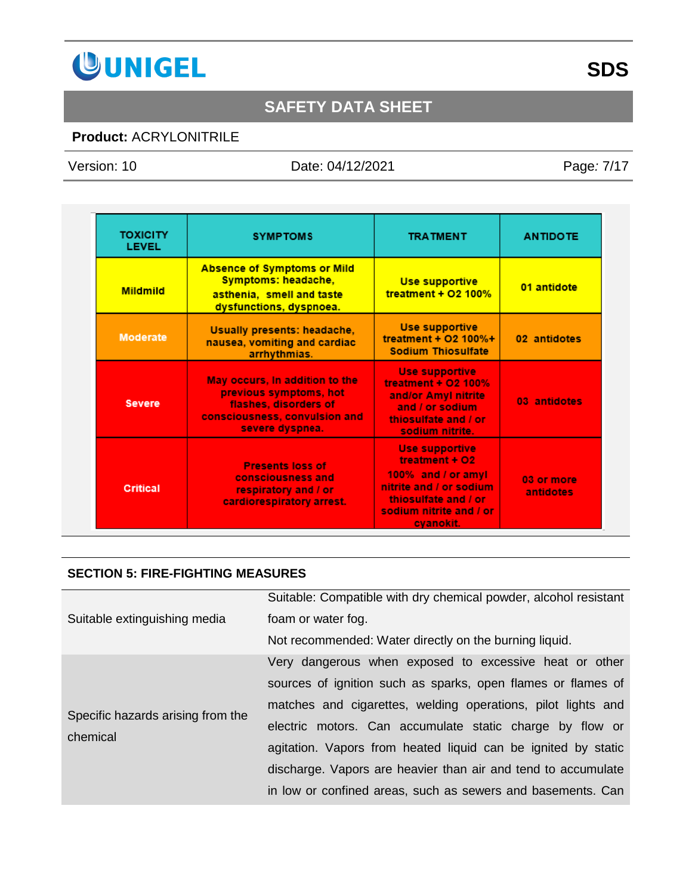

### **Product:** ACRYLONITRILE

Version: 10 Date: 04/12/2021 Page*:* 7/17

| <b>TOXICITY</b><br>LEVEL | <b>SYMPTOMS</b>                                                                                                                       | <b>TRATMENT</b>                                                                                                                                          | <b>ANTIDOTE</b>         |
|--------------------------|---------------------------------------------------------------------------------------------------------------------------------------|----------------------------------------------------------------------------------------------------------------------------------------------------------|-------------------------|
| <b>Mildmild</b>          | <b>Absence of Symptoms or Mild</b><br>Symptoms: headache,<br>asthenia, smell and taste<br>dysfunctions, dyspnoea.                     | <b>Use supportive</b><br>treatment + $O2$ 100%                                                                                                           | 01 antidote             |
| <b>Moderate</b>          | Usually presents: headache,<br>nausea, vomiting and cardiac<br>arrhythmias.                                                           | <b>Use supportive</b><br>treatment + $O2$ 100%+<br><b>Sodium Thiosulfate</b>                                                                             | 02 antidotes            |
| <b>Severe</b>            | May occurs, In addition to the<br>previous symptoms, hot<br>flashes, disorders of<br>consciousness, convulsion and<br>severe dyspnea. | <b>Use supportive</b><br>treatment + $O2$ 100%<br>and/or Amyl nitrite<br>and / or sodium<br>thiosulfate and / or<br>sodium nitrite.                      | 03 antidotes            |
| <b>Critical</b>          | <b>Presents loss of</b><br>consciousness and<br>respiratory and / or<br>cardiorespiratory arrest.                                     | <b>Use supportive</b><br>treatment + O2<br>100% and / or amyl<br>nitrite and / or sodium<br>thiosulfate and / or<br>sodium nitrite and / or<br>cyanokit. | 03 or more<br>antidotes |

#### **SECTION 5: FIRE-FIGHTING MEASURES**

| Suitable extinguishing media                  | Suitable: Compatible with dry chemical powder, alcohol resistant<br>foam or water fog.<br>Not recommended: Water directly on the burning liquid.                                                                                                                                                                                                                                                                                                    |
|-----------------------------------------------|-----------------------------------------------------------------------------------------------------------------------------------------------------------------------------------------------------------------------------------------------------------------------------------------------------------------------------------------------------------------------------------------------------------------------------------------------------|
| Specific hazards arising from the<br>chemical | Very dangerous when exposed to excessive heat or other<br>sources of ignition such as sparks, open flames or flames of<br>matches and cigarettes, welding operations, pilot lights and<br>electric motors. Can accumulate static charge by flow or<br>agitation. Vapors from heated liquid can be ignited by static<br>discharge. Vapors are heavier than air and tend to accumulate<br>in low or confined areas, such as sewers and basements. Can |

# **SDS**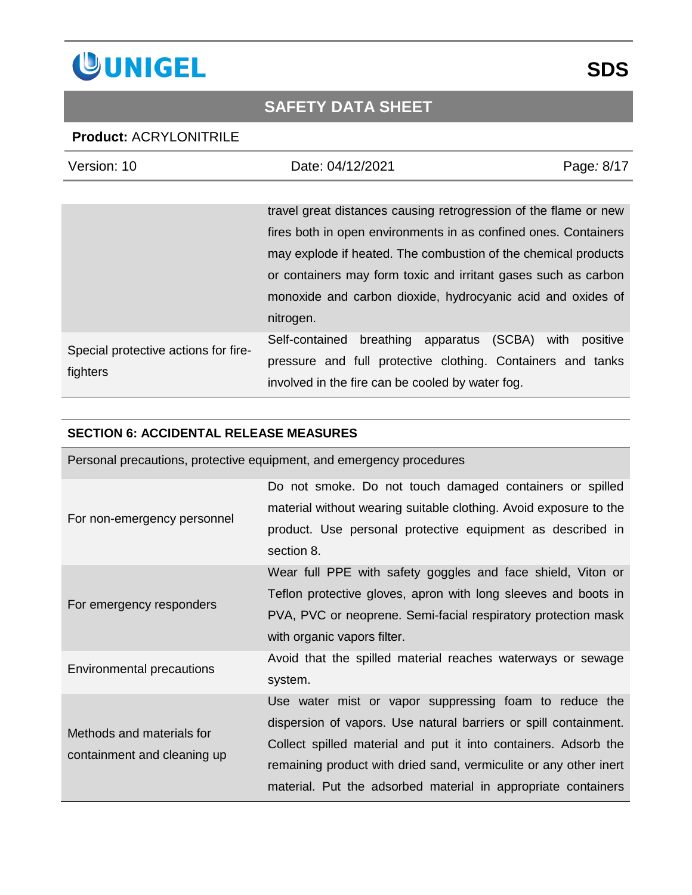

### **Product:** ACRYLONITRILE

| Version: 10                                      | Date: 04/12/2021                                                                                                | Page: 8/17       |
|--------------------------------------------------|-----------------------------------------------------------------------------------------------------------------|------------------|
|                                                  |                                                                                                                 |                  |
|                                                  | travel great distances causing retrogression of the flame or new                                                |                  |
|                                                  | fires both in open environments in as confined ones. Containers                                                 |                  |
|                                                  | may explode if heated. The combustion of the chemical products                                                  |                  |
|                                                  | or containers may form toxic and irritant gases such as carbon                                                  |                  |
|                                                  | monoxide and carbon dioxide, hydrocyanic acid and oxides of                                                     |                  |
|                                                  | nitrogen.                                                                                                       |                  |
| Special protective actions for fire-<br>fighters | breathing apparatus (SCBA)<br>Self-contained                                                                    | positive<br>with |
|                                                  | pressure and full protective clothing. Containers and tanks<br>involved in the fire can be cooled by water fog. |                  |

#### **SECTION 6: ACCIDENTAL RELEASE MEASURES**

| Personal precautions, protective equipment, and emergency procedures |                                                                                                                                                                                                                                                                                                                                     |  |
|----------------------------------------------------------------------|-------------------------------------------------------------------------------------------------------------------------------------------------------------------------------------------------------------------------------------------------------------------------------------------------------------------------------------|--|
| For non-emergency personnel                                          | Do not smoke. Do not touch damaged containers or spilled<br>material without wearing suitable clothing. Avoid exposure to the<br>product. Use personal protective equipment as described in<br>section 8.                                                                                                                           |  |
| For emergency responders                                             | Wear full PPE with safety goggles and face shield, Viton or<br>Teflon protective gloves, apron with long sleeves and boots in<br>PVA, PVC or neoprene. Semi-facial respiratory protection mask<br>with organic vapors filter.                                                                                                       |  |
| <b>Environmental precautions</b>                                     | Avoid that the spilled material reaches waterways or sewage<br>system.                                                                                                                                                                                                                                                              |  |
| Methods and materials for<br>containment and cleaning up             | Use water mist or vapor suppressing foam to reduce the<br>dispersion of vapors. Use natural barriers or spill containment.<br>Collect spilled material and put it into containers. Adsorb the<br>remaining product with dried sand, vermiculite or any other inert<br>material. Put the adsorbed material in appropriate containers |  |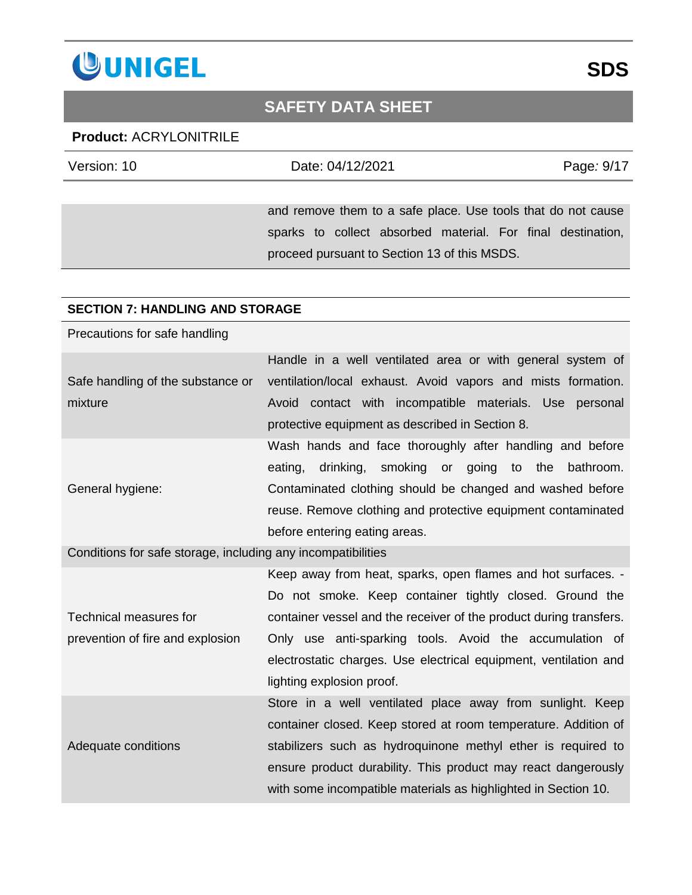

#### **Product:** ACRYLONITRILE

| Version: 10 | Date: 04/12/2021                                             | Page: 9/17 |
|-------------|--------------------------------------------------------------|------------|
|             |                                                              |            |
|             | and remove them to a safe place. Use tools that do not cause |            |
|             | sparks to collect absorbed material. For final destination,  |            |
|             | proceed pursuant to Section 13 of this MSDS.                 |            |

#### **SECTION 7: HANDLING AND STORAGE**

Precautions for safe handling

|                                   | Handle in a well ventilated area or with general system of   |
|-----------------------------------|--------------------------------------------------------------|
| Safe handling of the substance or | ventilation/local exhaust. Avoid vapors and mists formation. |
| mixture                           | Avoid contact with incompatible materials. Use personal      |
|                                   | protective equipment as described in Section 8.              |
|                                   | Wash hands and face thoroughly after handling and before     |
|                                   | drinking, smoking or going to the bathroom.<br>eating,       |
| General hygiene:                  | Contaminated clothing should be changed and washed before    |
|                                   | reuse. Remove clothing and protective equipment contaminated |
|                                   | before entering eating areas.                                |

Conditions for safe storage, including any incompatibilities

Technical measures for prevention of fire and explosion Keep away from heat, sparks, open flames and hot surfaces. - Do not smoke. Keep container tightly closed. Ground the container vessel and the receiver of the product during transfers. Only use anti-sparking tools. Avoid the accumulation of electrostatic charges. Use electrical equipment, ventilation and lighting explosion proof. Adequate conditions Store in a well ventilated place away from sunlight. Keep container closed. Keep stored at room temperature. Addition of stabilizers such as hydroquinone methyl ether is required to ensure product durability. This product may react dangerously with some incompatible materials as highlighted in Section 10.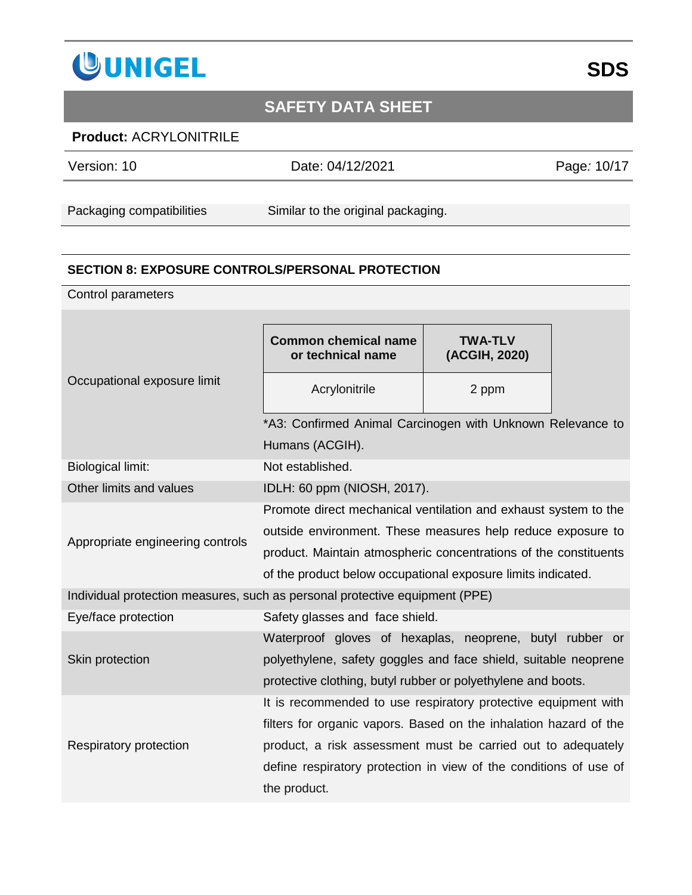

### **Product:** ACRYLONITRILE

Version: 10 Date: 04/12/2021 Page*:* 10/17

Packaging compatibilities Similar to the original packaging.

#### **SECTION 8: EXPOSURE CONTROLS/PERSONAL PROTECTION**

Control parameters

| Occupational exposure limit                                                 | <b>Common chemical name</b><br>or technical name                  | <b>TWA-TLV</b><br>(ACGIH, 2020) |  |
|-----------------------------------------------------------------------------|-------------------------------------------------------------------|---------------------------------|--|
|                                                                             | Acrylonitrile                                                     | 2 ppm                           |  |
|                                                                             | *A3: Confirmed Animal Carcinogen with Unknown Relevance to        |                                 |  |
|                                                                             | Humans (ACGIH).                                                   |                                 |  |
| <b>Biological limit:</b>                                                    | Not established.                                                  |                                 |  |
| Other limits and values                                                     | IDLH: 60 ppm (NIOSH, 2017).                                       |                                 |  |
|                                                                             | Promote direct mechanical ventilation and exhaust system to the   |                                 |  |
| Appropriate engineering controls                                            | outside environment. These measures help reduce exposure to       |                                 |  |
|                                                                             | product. Maintain atmospheric concentrations of the constituents  |                                 |  |
|                                                                             | of the product below occupational exposure limits indicated.      |                                 |  |
| Individual protection measures, such as personal protective equipment (PPE) |                                                                   |                                 |  |
| Eye/face protection                                                         | Safety glasses and face shield.                                   |                                 |  |
|                                                                             | Waterproof gloves of hexaplas, neoprene, butyl rubber or          |                                 |  |
| Skin protection                                                             | polyethylene, safety goggles and face shield, suitable neoprene   |                                 |  |
|                                                                             | protective clothing, butyl rubber or polyethylene and boots.      |                                 |  |
|                                                                             | It is recommended to use respiratory protective equipment with    |                                 |  |
|                                                                             | filters for organic vapors. Based on the inhalation hazard of the |                                 |  |
| Respiratory protection                                                      | product, a risk assessment must be carried out to adequately      |                                 |  |
|                                                                             | define respiratory protection in view of the conditions of use of |                                 |  |
|                                                                             | the product.                                                      |                                 |  |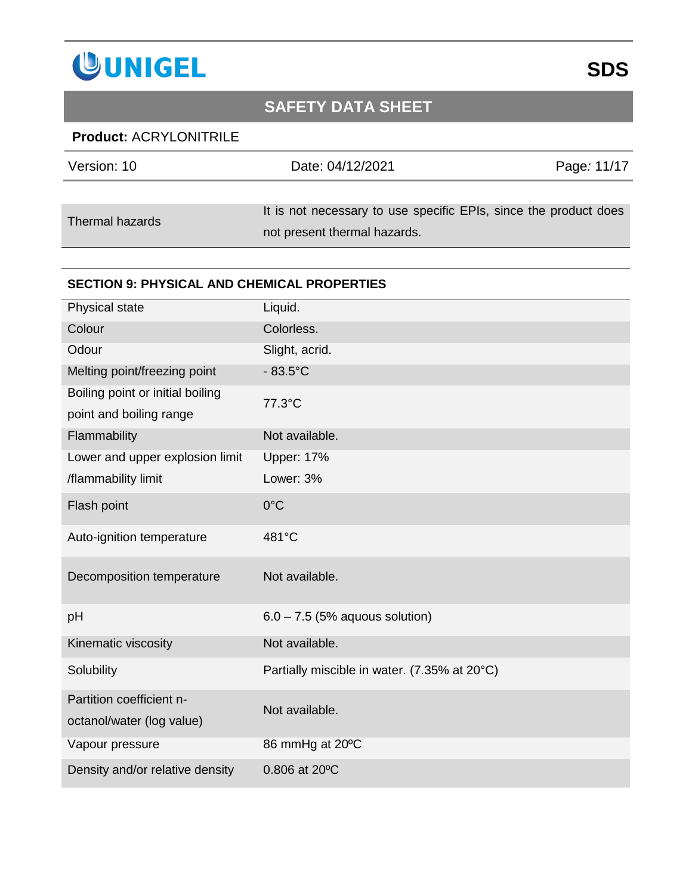

### **Product:** ACRYLONITRILE

| Version: 10     | Date: 04/12/2021                                                 | Page: 11/17 |
|-----------------|------------------------------------------------------------------|-------------|
|                 |                                                                  |             |
| Thermal hazards | It is not necessary to use specific EPIs, since the product does |             |
|                 | not present thermal hazards.                                     |             |

#### **SECTION 9: PHYSICAL AND CHEMICAL PROPERTIES**

| Physical state                   | Liquid.                                      |
|----------------------------------|----------------------------------------------|
| Colour                           | Colorless.                                   |
| Odour                            | Slight, acrid.                               |
| Melting point/freezing point     | $-83.5^{\circ}$ C                            |
| Boiling point or initial boiling | 77.3°C                                       |
| point and boiling range          |                                              |
| Flammability                     | Not available.                               |
| Lower and upper explosion limit  | <b>Upper: 17%</b>                            |
| /flammability limit              | Lower: 3%                                    |
| Flash point                      | $0^{\circ}$ C                                |
| Auto-ignition temperature        | 481°C                                        |
| Decomposition temperature        | Not available.                               |
| pH                               | $6.0 - 7.5$ (5% aquous solution)             |
| Kinematic viscosity              | Not available.                               |
| Solubility                       | Partially miscible in water. (7.35% at 20°C) |
| Partition coefficient n-         | Not available.                               |
| octanol/water (log value)        |                                              |
| Vapour pressure                  | 86 mmHg at 20°C                              |
| Density and/or relative density  | 0.806 at 20°C                                |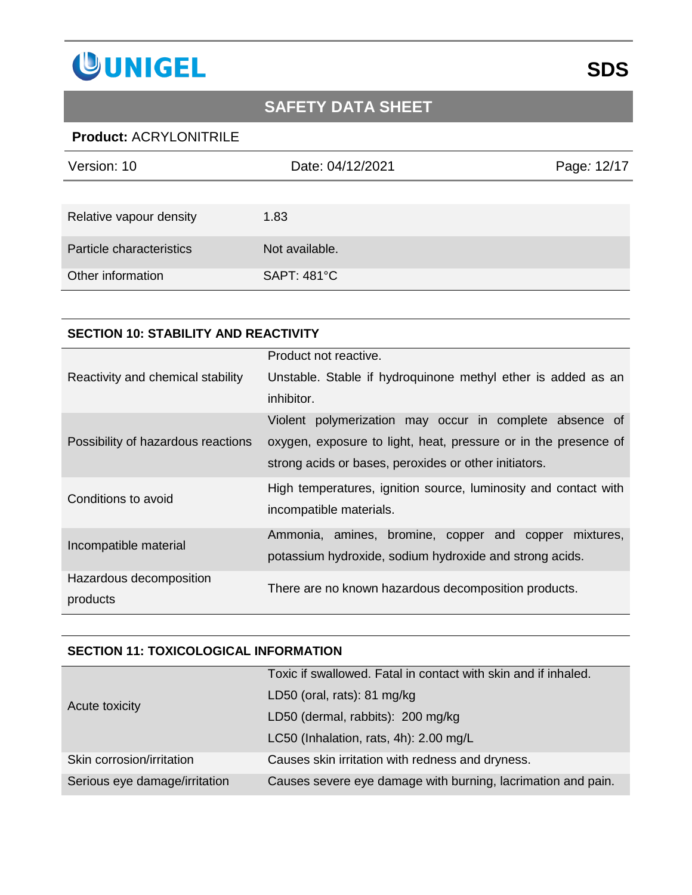

### **Product:** ACRYLONITRILE

| Version: 10              | Date: 04/12/2021   | Page: 12/17 |
|--------------------------|--------------------|-------------|
|                          |                    |             |
| Relative vapour density  | 1.83               |             |
| Particle characteristics | Not available.     |             |
| Other information        | <b>SAPT: 481°C</b> |             |

#### **SECTION 10: STABILITY AND REACTIVITY**

|                                    | Product not reactive.                                           |
|------------------------------------|-----------------------------------------------------------------|
| Reactivity and chemical stability  | Unstable. Stable if hydroquinone methyl ether is added as an    |
|                                    | inhibitor.                                                      |
|                                    | Violent polymerization may occur in complete absence of         |
| Possibility of hazardous reactions | oxygen, exposure to light, heat, pressure or in the presence of |
|                                    | strong acids or bases, peroxides or other initiators.           |
| Conditions to avoid                | High temperatures, ignition source, luminosity and contact with |
|                                    | incompatible materials.                                         |
| Incompatible material              | Ammonia, amines, bromine, copper and copper<br>mixtures.        |
|                                    | potassium hydroxide, sodium hydroxide and strong acids.         |
| Hazardous decomposition            | There are no known hazardous decomposition products.            |
| products                           |                                                                 |

#### **SECTION 11: TOXICOLOGICAL INFORMATION**

|                               | Toxic if swallowed. Fatal in contact with skin and if inhaled. |
|-------------------------------|----------------------------------------------------------------|
| Acute toxicity                | LD50 (oral, rats): 81 mg/kg                                    |
|                               | LD50 (dermal, rabbits): 200 mg/kg                              |
|                               | LC50 (Inhalation, rats, 4h): 2.00 mg/L                         |
| Skin corrosion/irritation     | Causes skin irritation with redness and dryness.               |
| Serious eye damage/irritation | Causes severe eye damage with burning, lacrimation and pain.   |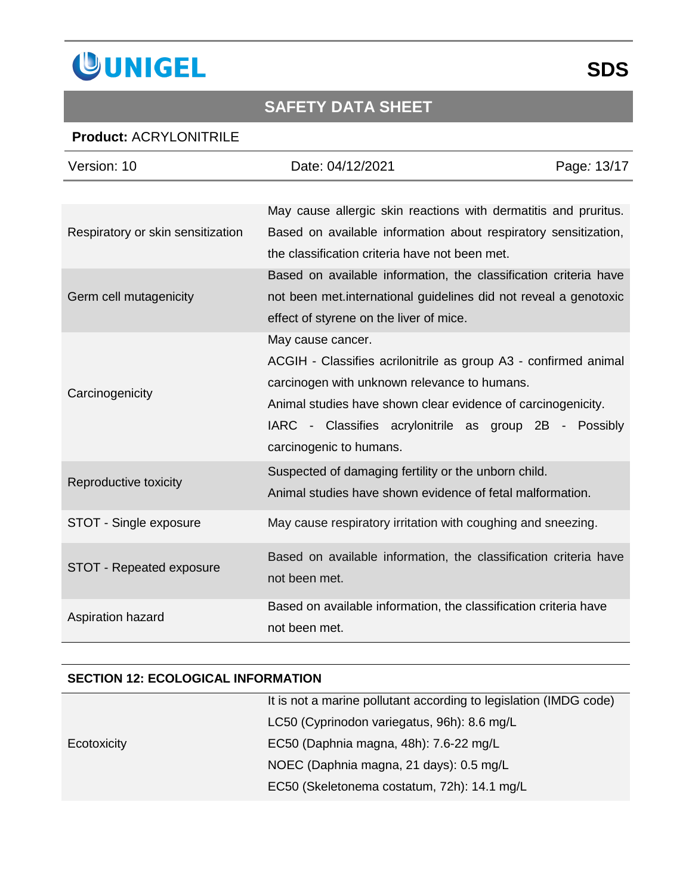

### **Product:** ACRYLONITRILE

| Version: 10                       | Date: 04/12/2021                                                 | Page: 13/17 |
|-----------------------------------|------------------------------------------------------------------|-------------|
|                                   |                                                                  |             |
|                                   | May cause allergic skin reactions with dermatitis and pruritus.  |             |
| Respiratory or skin sensitization | Based on available information about respiratory sensitization,  |             |
|                                   | the classification criteria have not been met.                   |             |
|                                   | Based on available information, the classification criteria have |             |
| Germ cell mutagenicity            | not been met international guidelines did not reveal a genotoxic |             |
|                                   | effect of styrene on the liver of mice.                          |             |
|                                   | May cause cancer.                                                |             |
|                                   | ACGIH - Classifies acrilonitrile as group A3 - confirmed animal  |             |
| Carcinogenicity                   | carcinogen with unknown relevance to humans.                     |             |
|                                   | Animal studies have shown clear evidence of carcinogenicity.     |             |
|                                   | IARC - Classifies acrylonitrile as group 2B - Possibly           |             |
|                                   | carcinogenic to humans.                                          |             |
| Reproductive toxicity             | Suspected of damaging fertility or the unborn child.             |             |
|                                   | Animal studies have shown evidence of fetal malformation.        |             |
| STOT - Single exposure            | May cause respiratory irritation with coughing and sneezing.     |             |
|                                   | Based on available information, the classification criteria have |             |
| STOT - Repeated exposure          | not been met.                                                    |             |
| Aspiration hazard                 | Based on available information, the classification criteria have |             |
|                                   | not been met.                                                    |             |

#### **SECTION 12: ECOLOGICAL INFORMATION**

|             | It is not a marine pollutant according to legislation (IMDG code) |
|-------------|-------------------------------------------------------------------|
|             | LC50 (Cyprinodon variegatus, 96h): 8.6 mg/L                       |
| Ecotoxicity | EC50 (Daphnia magna, 48h): 7.6-22 mg/L                            |
|             | NOEC (Daphnia magna, 21 days): 0.5 mg/L                           |
|             | EC50 (Skeletonema costatum, 72h): 14.1 mg/L                       |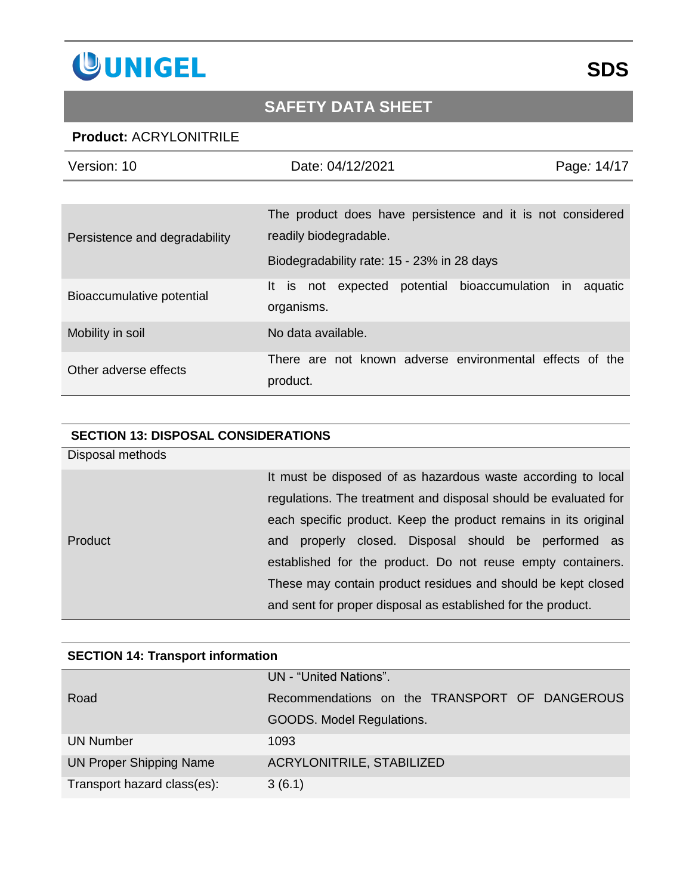

#### **Product:** ACRYLONITRILE

| Version: 10                   | Date: 04/12/2021                                                                                                                   | Page: 14/17 |
|-------------------------------|------------------------------------------------------------------------------------------------------------------------------------|-------------|
|                               |                                                                                                                                    |             |
| Persistence and degradability | The product does have persistence and it is not considered<br>readily biodegradable.<br>Biodegradability rate: 15 - 23% in 28 days |             |
| Bioaccumulative potential     | It is<br>potential bioaccumulation in<br>not expected<br>organisms.                                                                | aquatic     |
| Mobility in soil              | No data available.                                                                                                                 |             |
| Other adverse effects         | There are not known adverse environmental effects of the<br>product.                                                               |             |

#### **SECTION 13: DISPOSAL CONSIDERATIONS**

Disposal methods

Product

It must be disposed of as hazardous waste according to local regulations. The treatment and disposal should be evaluated for each specific product. Keep the product remains in its original and properly closed. Disposal should be performed as established for the product. Do not reuse empty containers. These may contain product residues and should be kept closed and sent for proper disposal as established for the product.

| SECTION 14: Transport Information |                                               |  |
|-----------------------------------|-----------------------------------------------|--|
|                                   | UN - "United Nations".                        |  |
| Road                              | Recommendations on the TRANSPORT OF DANGEROUS |  |
|                                   | GOODS. Model Regulations.                     |  |
| <b>UN Number</b>                  | 1093                                          |  |
| <b>UN Proper Shipping Name</b>    | <b>ACRYLONITRILE, STABILIZED</b>              |  |
| Transport hazard class(es):       | 3(6.1)                                        |  |

#### **SECTION 14: Transport information**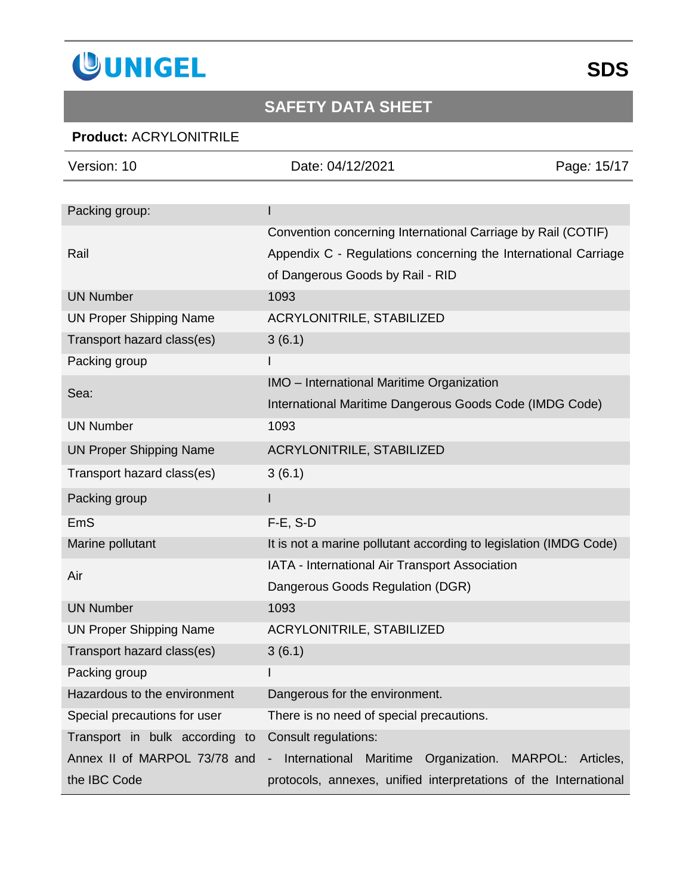

### **Product:** ACRYLONITRILE

| Version: 10                    | Date: 04/12/2021                                                                                                                                                   | Page: 15/17 |
|--------------------------------|--------------------------------------------------------------------------------------------------------------------------------------------------------------------|-------------|
|                                |                                                                                                                                                                    |             |
| Packing group:                 |                                                                                                                                                                    |             |
| Rail                           | Convention concerning International Carriage by Rail (COTIF)<br>Appendix C - Regulations concerning the International Carriage<br>of Dangerous Goods by Rail - RID |             |
| <b>UN Number</b>               | 1093                                                                                                                                                               |             |
| <b>UN Proper Shipping Name</b> | ACRYLONITRILE, STABILIZED                                                                                                                                          |             |
| Transport hazard class(es)     | 3(6.1)                                                                                                                                                             |             |
| Packing group                  |                                                                                                                                                                    |             |
| Sea:                           | IMO - International Maritime Organization                                                                                                                          |             |
|                                | International Maritime Dangerous Goods Code (IMDG Code)                                                                                                            |             |
| <b>UN Number</b>               | 1093                                                                                                                                                               |             |
| <b>UN Proper Shipping Name</b> | <b>ACRYLONITRILE, STABILIZED</b>                                                                                                                                   |             |
| Transport hazard class(es)     | 3(6.1)                                                                                                                                                             |             |
| Packing group                  |                                                                                                                                                                    |             |
| <b>EmS</b>                     | $F-E$ , S-D                                                                                                                                                        |             |
| Marine pollutant               | It is not a marine pollutant according to legislation (IMDG Code)                                                                                                  |             |
| Air                            | IATA - International Air Transport Association                                                                                                                     |             |
|                                | Dangerous Goods Regulation (DGR)                                                                                                                                   |             |
| <b>UN Number</b>               | 1093                                                                                                                                                               |             |
| <b>UN Proper Shipping Name</b> | <b>ACRYLONITRILE, STABILIZED</b>                                                                                                                                   |             |
| Transport hazard class(es)     | 3(6.1)                                                                                                                                                             |             |
| Packing group                  |                                                                                                                                                                    |             |
| Hazardous to the environment   | Dangerous for the environment.                                                                                                                                     |             |
| Special precautions for user   | There is no need of special precautions.                                                                                                                           |             |
| Transport in bulk according to | Consult regulations:                                                                                                                                               |             |
| Annex II of MARPOL 73/78 and   | Maritime Organization.<br>International<br>MARPOL:<br>-                                                                                                            | Articles,   |
| the IBC Code                   | protocols, annexes, unified interpretations of the International                                                                                                   |             |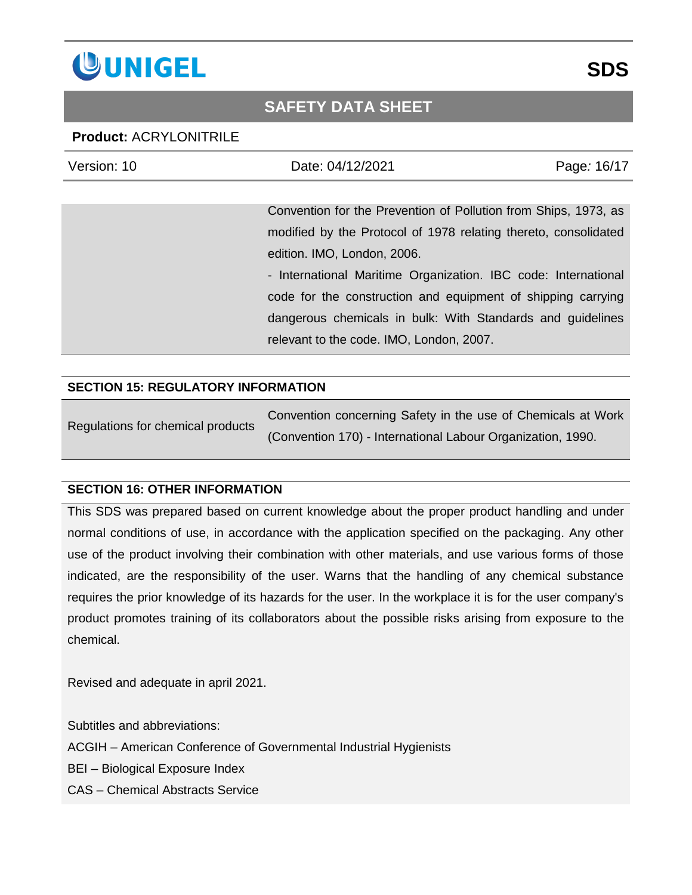

#### **Product:** ACRYLONITRILE

| Version: 10 | Date: 04/12/2021                                                | Page: 16/17 |
|-------------|-----------------------------------------------------------------|-------------|
|             |                                                                 |             |
|             | Convention for the Prevention of Pollution from Ships, 1973, as |             |
|             | modified by the Protocol of 1978 relating thereto, consolidated |             |
|             | edition. IMO, London, 2006.                                     |             |
|             | - International Maritime Organization. IBC code: International  |             |
|             | code for the construction and equipment of shipping carrying    |             |
|             | dangerous chemicals in bulk: With Standards and guidelines      |             |
|             | relevant to the code. IMO, London, 2007.                        |             |

#### **SECTION 15: REGULATORY INFORMATION**

| Regulations for chemical products | Convention concerning Safety in the use of Chemicals at Work |
|-----------------------------------|--------------------------------------------------------------|
|                                   | (Convention 170) - International Labour Organization, 1990.  |

#### **SECTION 16: OTHER INFORMATION**

This SDS was prepared based on current knowledge about the proper product handling and under normal conditions of use, in accordance with the application specified on the packaging. Any other use of the product involving their combination with other materials, and use various forms of those indicated, are the responsibility of the user. Warns that the handling of any chemical substance requires the prior knowledge of its hazards for the user. In the workplace it is for the user company's product promotes training of its collaborators about the possible risks arising from exposure to the chemical.

Revised and adequate in april 2021.

Subtitles and abbreviations:

ACGIH – American Conference of Governmental Industrial Hygienists

BEI – Biological Exposure Index

CAS – Chemical Abstracts Service